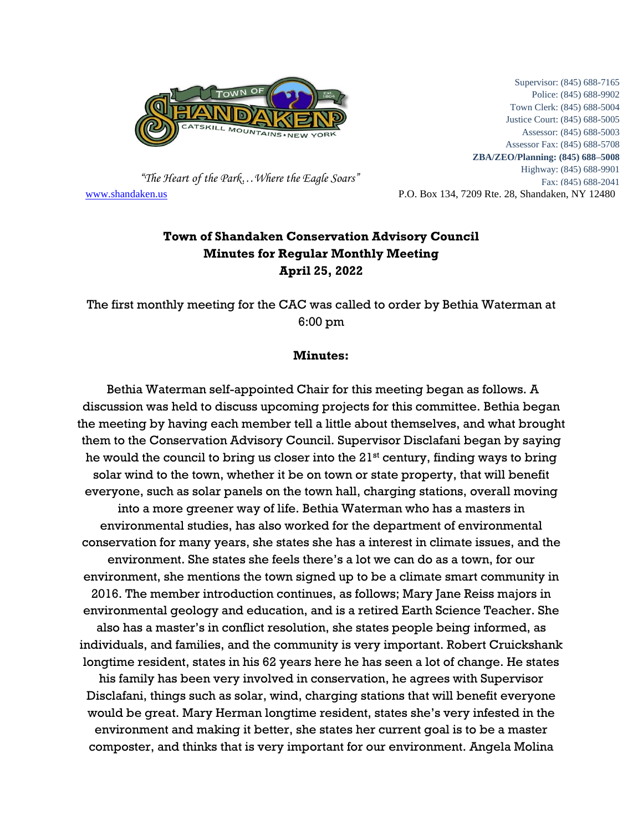

 *"The Heart of the Park…Where the Eagle Soars"* [www.shandaken.us](http://www.shandaken.us/) P.O. Box 134, 7209 Rte. 28, Shandaken, NY 12480

Supervisor: (845) 688-7165 Police: (845) 688-9902 Town Clerk: (845) 688-5004 Justice Court: (845) 688-5005 Assessor: (845) 688-5003 Assessor Fax: (845) 688-5708 **ZBA/ZEO/Planning: (845) 688–5008** Highway: (845) 688-9901 Fax: (845) 688-2041

## **Town of Shandaken Conservation Advisory Council Minutes for Regular Monthly Meeting April 25, 2022**

The first monthly meeting for the CAC was called to order by Bethia Waterman at 6:00 pm

## **Minutes:**

Bethia Waterman self-appointed Chair for this meeting began as follows. A discussion was held to discuss upcoming projects for this committee. Bethia began the meeting by having each member tell a little about themselves, and what brought them to the Conservation Advisory Council. Supervisor Disclafani began by saying he would the council to bring us closer into the  $21<sup>st</sup>$  century, finding ways to bring solar wind to the town, whether it be on town or state property, that will benefit everyone, such as solar panels on the town hall, charging stations, overall moving into a more greener way of life. Bethia Waterman who has a masters in environmental studies, has also worked for the department of environmental conservation for many years, she states she has a interest in climate issues, and the environment. She states she feels there's a lot we can do as a town, for our environment, she mentions the town signed up to be a climate smart community in 2016. The member introduction continues, as follows; Mary Jane Reiss majors in environmental geology and education, and is a retired Earth Science Teacher. She also has a master's in conflict resolution, she states people being informed, as individuals, and families, and the community is very important. Robert Cruickshank longtime resident, states in his 62 years here he has seen a lot of change. He states his family has been very involved in conservation, he agrees with Supervisor Disclafani, things such as solar, wind, charging stations that will benefit everyone would be great. Mary Herman longtime resident, states she's very infested in the environment and making it better, she states her current goal is to be a master composter, and thinks that is very important for our environment. Angela Molina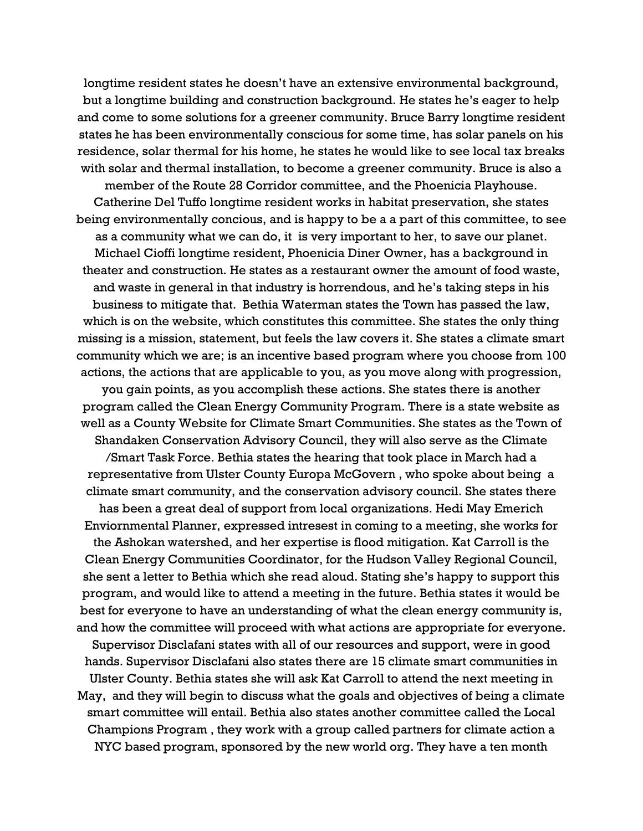longtime resident states he doesn't have an extensive environmental background, but a longtime building and construction background. He states he's eager to help and come to some solutions for a greener community. Bruce Barry longtime resident states he has been environmentally conscious for some time, has solar panels on his residence, solar thermal for his home, he states he would like to see local tax breaks with solar and thermal installation, to become a greener community. Bruce is also a

member of the Route 28 Corridor committee, and the Phoenicia Playhouse. Catherine Del Tuffo longtime resident works in habitat preservation, she states being environmentally concious, and is happy to be a a part of this committee, to see as a community what we can do, it is very important to her, to save our planet. Michael Cioffi longtime resident, Phoenicia Diner Owner, has a background in theater and construction. He states as a restaurant owner the amount of food waste, and waste in general in that industry is horrendous, and he's taking steps in his business to mitigate that. Bethia Waterman states the Town has passed the law, which is on the website, which constitutes this committee. She states the only thing missing is a mission, statement, but feels the law covers it. She states a climate smart community which we are; is an incentive based program where you choose from 100 actions, the actions that are applicable to you, as you move along with progression,

you gain points, as you accomplish these actions. She states there is another program called the Clean Energy Community Program. There is a state website as well as a County Website for Climate Smart Communities. She states as the Town of Shandaken Conservation Advisory Council, they will also serve as the Climate

/Smart Task Force. Bethia states the hearing that took place in March had a representative from Ulster County Europa McGovern , who spoke about being a climate smart community, and the conservation advisory council. She states there

has been a great deal of support from local organizations. Hedi May Emerich Enviornmental Planner, expressed intresest in coming to a meeting, she works for the Ashokan watershed, and her expertise is flood mitigation. Kat Carroll is the Clean Energy Communities Coordinator, for the Hudson Valley Regional Council, she sent a letter to Bethia which she read aloud. Stating she's happy to support this program, and would like to attend a meeting in the future. Bethia states it would be best for everyone to have an understanding of what the clean energy community is, and how the committee will proceed with what actions are appropriate for everyone.

Supervisor Disclafani states with all of our resources and support, were in good hands. Supervisor Disclafani also states there are 15 climate smart communities in Ulster County. Bethia states she will ask Kat Carroll to attend the next meeting in May, and they will begin to discuss what the goals and objectives of being a climate smart committee will entail. Bethia also states another committee called the Local Champions Program , they work with a group called partners for climate action a NYC based program, sponsored by the new world org. They have a ten month